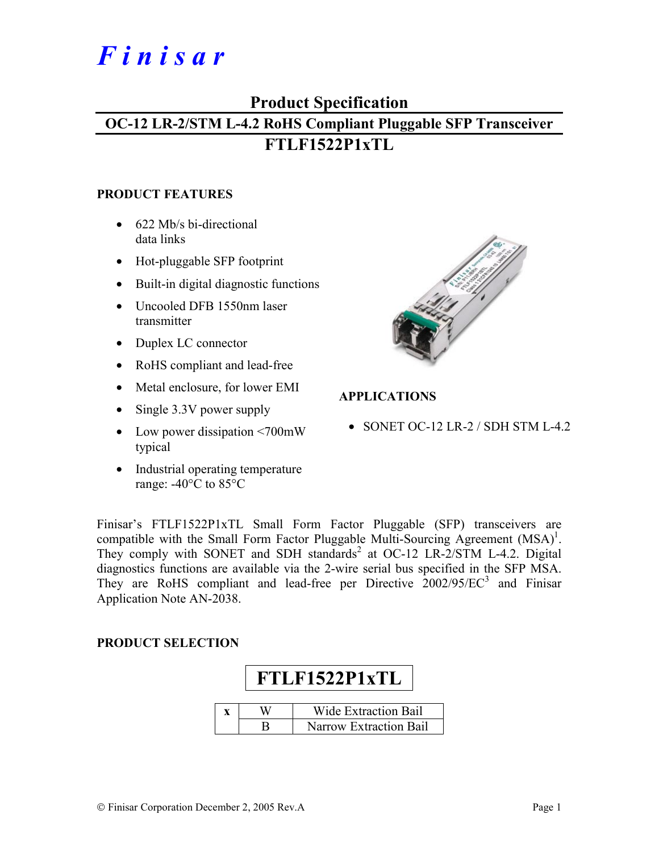# *F i n i s a r*

## **Product Specification**

# **OC-12 LR-2/STM L-4.2 RoHS Compliant Pluggable SFP Transceiver FTLF1522P1xTL**

#### **PRODUCT FEATURES**

- 622 Mb/s bi-directional data links
- Hot-pluggable SFP footprint
- Built-in digital diagnostic functions
- Uncooled DFB 1550nm laser transmitter
- Duplex LC connector
- RoHS compliant and lead-free
- Metal enclosure, for lower EMI
- Single 3.3V power supply
- Low power dissipation <700mW typical
- Industrial operating temperature range: -40°C to 85°C



#### **APPLICATIONS**

• SONET OC-12 LR-2 / SDH STM L-4.2

Finisar's FTLF1522P1xTL Small Form Factor Pluggable (SFP) transceivers are compatible with the Small Form Factor Pluggable Multi-Sourcing Agreement  $(MSA)^1$ . They comply with SONET and SDH standards<sup>2</sup> at OC-12 LR-2/STM L-4.2. Digital diagnostics functions are available via the 2-wire serial bus specified in the SFP MSA. They are RoHS compliant and lead-free per Directive  $2002/95/EC^3$  and Finisar Application Note AN-2038.

#### **PRODUCT SELECTION**

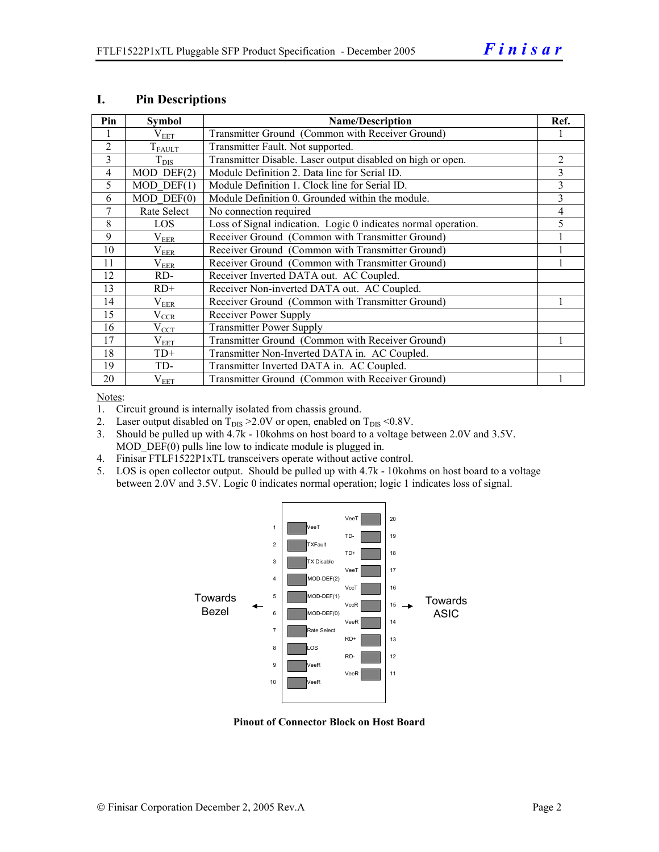| Pin            | <b>Symbol</b>         | <b>Name/Description</b>                                        | Ref. |
|----------------|-----------------------|----------------------------------------------------------------|------|
|                | $\rm V_{EET}$         | Transmitter Ground (Common with Receiver Ground)               |      |
| $\overline{2}$ | $T_{FAULT}$           | Transmitter Fault. Not supported.                              |      |
| 3              | $T_{\rm DIS}$         | Transmitter Disable. Laser output disabled on high or open.    | 2    |
| 4              | $MOD$ $DEF(2)$        | Module Definition 2. Data line for Serial ID.                  | 3    |
| 5              | $MOD$ DEF $(1)$       | Module Definition 1. Clock line for Serial ID.                 | 3    |
| 6              | $MOD$ $DEF(0)$        | Module Definition 0. Grounded within the module.               | 3    |
| 7              | Rate Select           | No connection required                                         | 4    |
| 8              | <b>LOS</b>            | Loss of Signal indication. Logic 0 indicates normal operation. | 5    |
| 9              | $\rm V_{EER}$         | Receiver Ground (Common with Transmitter Ground)               |      |
| 10             | $\rm V_{EER}$         | Receiver Ground (Common with Transmitter Ground)               |      |
| 11             | $\rm V_{EER}$         | Receiver Ground (Common with Transmitter Ground)               |      |
| 12             | RD-                   | Receiver Inverted DATA out. AC Coupled.                        |      |
| 13             | $RD+$                 | Receiver Non-inverted DATA out. AC Coupled.                    |      |
| 14             | $\rm V_{EER}$         | Receiver Ground (Common with Transmitter Ground)               |      |
| 15             | $V_{\underline{CCR}}$ | Receiver Power Supply                                          |      |
| 16             | $V_{CCT}$             | <b>Transmitter Power Supply</b>                                |      |
| 17             | $\rm V_{EET}$         | Transmitter Ground (Common with Receiver Ground)               |      |
| 18             | $TD+$                 | Transmitter Non-Inverted DATA in. AC Coupled.                  |      |
| 19             | TD-                   | Transmitter Inverted DATA in. AC Coupled.                      |      |
| 20             | $V_{EET}$             | Transmitter Ground (Common with Receiver Ground)               |      |

#### **I. Pin Descriptions**

Notes:

1. Circuit ground is internally isolated from chassis ground.

- 2. Laser output disabled on  $T_{DIS} > 2.0V$  or open, enabled on  $T_{DIS} < 0.8V$ .
- 3. Should be pulled up with 4.7k 10kohms on host board to a voltage between 2.0V and 3.5V. MOD DEF(0) pulls line low to indicate module is plugged in.
- 4. Finisar FTLF1522P1xTL transceivers operate without active control.
- 5. LOS is open collector output. Should be pulled up with 4.7k 10kohms on host board to a voltage between 2.0V and 3.5V. Logic 0 indicates normal operation; logic 1 indicates loss of signal.



**Pinout of Connector Block on Host Board**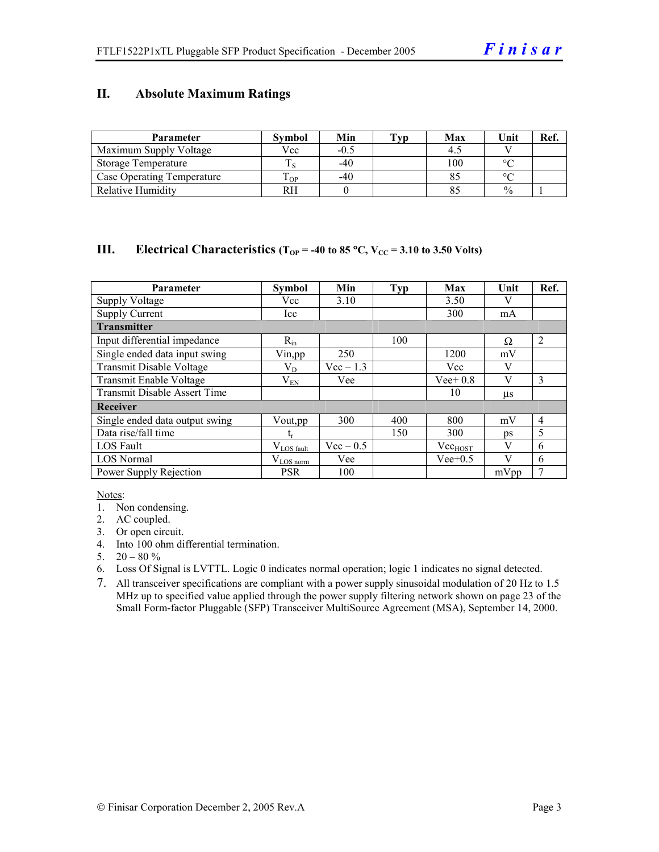#### **II. Absolute Maximum Ratings**

| <b>Parameter</b>                  | <b>Symbol</b> | Min    | Tvp | Max | Unit          | Ref. |
|-----------------------------------|---------------|--------|-----|-----|---------------|------|
| Maximum Supply Voltage            | Vcc           | $-0.5$ |     |     |               |      |
| Storage Temperature               |               | $-40$  |     | 100 | $\circ$       |      |
| <b>Case Operating Temperature</b> | m<br>OP.      | $-40$  |     |     | $\sim$        |      |
| <b>Relative Humidity</b>          | RН            |        |     |     | $\frac{0}{0}$ |      |

#### **III.** Electrical Characteristics ( $T_{OP}$  = -40 to 85 °C,  $V_{CC}$  = 3.10 to 3.50 Volts)

| <b>Parameter</b>                    | <b>Symbol</b>          | Min         | <b>Typ</b> | Max          | Unit    | Ref.           |
|-------------------------------------|------------------------|-------------|------------|--------------|---------|----------------|
| <b>Supply Voltage</b>               | Vcc                    | 3.10        |            | 3.50         |         |                |
| <b>Supply Current</b>               | Icc                    |             |            | 300          | mA      |                |
| <b>Transmitter</b>                  |                        |             |            |              |         |                |
| Input differential impedance        | $R_{in}$               |             | 100        |              | Ω       | $\overline{2}$ |
| Single ended data input swing       | Vin, pp                | 250         |            | 1200         | mV      |                |
| Transmit Disable Voltage            | $\rm V_{D}$            | $Vec-1.3$   |            | Vcc          | V       |                |
| Transmit Enable Voltage             | $\rm V_{EN}$           | Vee         |            | $Vee+0.8$    | V       | 3              |
| <b>Transmit Disable Assert Time</b> |                        |             |            | 10           | $\mu$ s |                |
| Receiver                            |                        |             |            |              |         |                |
| Single ended data output swing      | Vout, pp               | 300         | 400        | 800          | mV      | $\overline{4}$ |
| Data rise/fall time                 | t,                     |             | 150        | 300          | ps      | 5              |
| <b>LOS</b> Fault                    | $V_{\text{LOS}}$ fault | $Vec - 0.5$ |            | $Vec_{HOST}$ | V       | 6              |
| <b>LOS Normal</b>                   | $V_{LOS\,norm}$        | Vee         |            | $Vee+0.5$    | V       | 6              |
| Power Supply Rejection              | <b>PSR</b>             | 100         |            |              | mVpp    | 7              |

Notes:

- 1. Non condensing.
- 2. AC coupled.
- 3. Or open circuit.
- 4. Into 100 ohm differential termination.
- 5.  $20 80 \%$
- 6. Loss Of Signal is LVTTL. Logic 0 indicates normal operation; logic 1 indicates no signal detected.
- 7. All transceiver specifications are compliant with a power supply sinusoidal modulation of 20 Hz to 1.5 MHz up to specified value applied through the power supply filtering network shown on page 23 of the Small Form-factor Pluggable (SFP) Transceiver MultiSource Agreement (MSA), September 14, 2000.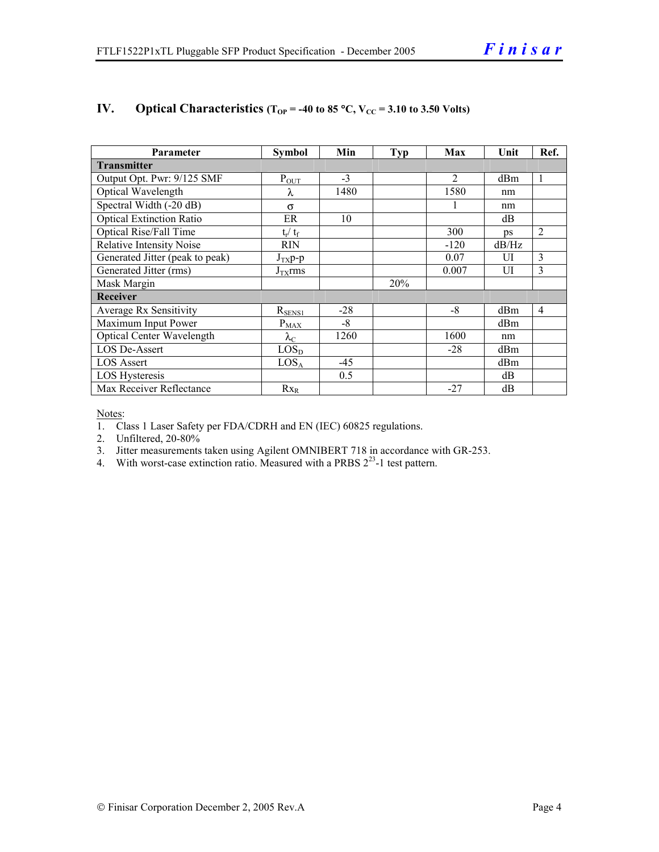| Parameter                        | <b>Symbol</b>     | Min   | Typ | Max            | Unit       | Ref.           |  |
|----------------------------------|-------------------|-------|-----|----------------|------------|----------------|--|
| <b>Transmitter</b>               |                   |       |     |                |            |                |  |
| Output Opt. Pwr: 9/125 SMF       | $P_{OUT}$         | $-3$  |     | $\overline{2}$ | dBm        | 1              |  |
| Optical Wavelength               | λ                 | 1480  |     | 1580           | nm         |                |  |
| Spectral Width (-20 dB)          | $\sigma$          |       |     |                | nm         |                |  |
| <b>Optical Extinction Ratio</b>  | ER                | 10    |     |                | dB         |                |  |
| Optical Rise/Fall Time           | $t_r / t_f$       |       |     | 300            | $\n  DS\n$ | $\overline{2}$ |  |
| <b>Relative Intensity Noise</b>  | <b>RIN</b>        |       |     | $-120$         | dB/Hz      |                |  |
| Generated Jitter (peak to peak)  | $J_{TX}p-p$       |       |     | 0.07           | UI         | 3              |  |
| Generated Jitter (rms)           | $J_{TX}$ rms      |       |     | 0.007          | UI         | 3              |  |
| Mask Margin                      |                   |       | 20% |                |            |                |  |
| <b>Receiver</b>                  |                   |       |     |                |            |                |  |
| Average Rx Sensitivity           | $R_{SENS1}$       | $-28$ |     | $-8$           | dBm        | 4              |  |
| Maximum Input Power              | $P_{\text{MAX}}$  | $-8$  |     |                | dBm        |                |  |
| <b>Optical Center Wavelength</b> | $\lambda_{\rm C}$ | 1260  |     | 1600           | nm         |                |  |
| LOS De-Assert                    | LOS <sub>D</sub>  |       |     | $-28$          | dBm        |                |  |
| <b>LOS</b> Assert                | LOS <sub>A</sub>  | -45   |     |                | dBm        |                |  |
| <b>LOS Hysteresis</b>            |                   | 0.5   |     |                | dB         |                |  |
| Max Receiver Reflectance         | $Rx_R$            |       |     | $-27$          | dB         |                |  |

#### **IV.** Optical Characteristics ( $T_{OP}$  = -40 to 85 °C,  $V_{CC}$  = 3.10 to 3.50 Volts)

Notes:

1. Class 1 Laser Safety per FDA/CDRH and EN (IEC) 60825 regulations.

2. Unfiltered, 20-80%

- 3. Jitter measurements taken using Agilent OMNIBERT 718 in accordance with GR-253.
- 4. With worst-case extinction ratio. Measured with a PRBS  $2^{23}$ -1 test pattern.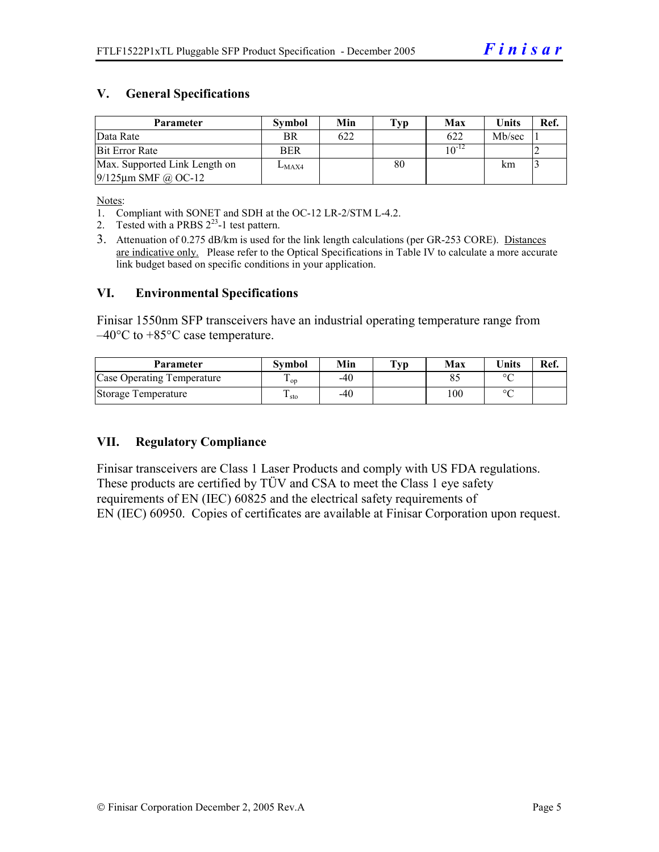#### **V. General Specifications**

| <b>Parameter</b>              | <b>Symbol</b> | Min | $\mathbf{Typ}$ | Max        | <b>Units</b> | Ref. |
|-------------------------------|---------------|-----|----------------|------------|--------------|------|
| Data Rate                     | BR            | 622 |                | 622        | Mb/sec       |      |
| <b>Bit Error Rate</b>         | <b>BER</b>    |     |                | $10^{-12}$ |              |      |
| Max. Supported Link Length on | $L_{MAX4}$    |     | 80             |            | km           |      |
| $9/125$ µm SMF @ OC-12        |               |     |                |            |              |      |

Notes:

- 1. Compliant with SONET and SDH at the OC-12 LR-2/STM L-4.2.
- 2. Tested with a PRBS  $2^{23}$ -1 test pattern.
- 3. Attenuation of 0.275 dB/km is used for the link length calculations (per GR-253 CORE). Distances are indicative only. Please refer to the Optical Specifications in Table IV to calculate a more accurate link budget based on specific conditions in your application.

#### **VI. Environmental Specifications**

Finisar 1550nm SFP transceivers have an industrial operating temperature range from  $-40^{\circ}$ C to  $+85^{\circ}$ C case temperature.

| Parameter                  | Svmbol | Min | $\mathbf{T}_{\mathbf{V}\mathbf{p}}$ | Max | <b>Units</b> | Ref. |
|----------------------------|--------|-----|-------------------------------------|-----|--------------|------|
| Case Operating Temperature | ' op   | -40 |                                     |     | $\circ$      |      |
| Storage Temperature        | ⊥ sto  | -40 |                                     | 100 | $\sim$       |      |

#### **VII. Regulatory Compliance**

Finisar transceivers are Class 1 Laser Products and comply with US FDA regulations. These products are certified by TÜV and CSA to meet the Class 1 eye safety requirements of EN (IEC) 60825 and the electrical safety requirements of EN (IEC) 60950. Copies of certificates are available at Finisar Corporation upon request.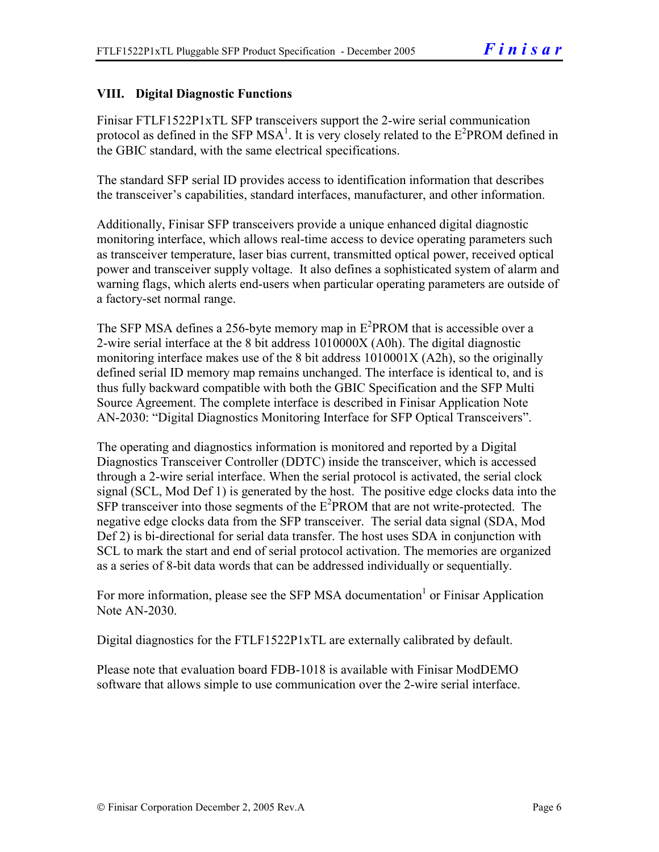#### **VIII. Digital Diagnostic Functions**

Finisar FTLF1522P1xTL SFP transceivers support the 2-wire serial communication protocol as defined in the SFP MSA<sup>1</sup>. It is very closely related to the  $E^2$ PROM defined in the GBIC standard, with the same electrical specifications.

The standard SFP serial ID provides access to identification information that describes the transceiver's capabilities, standard interfaces, manufacturer, and other information.

Additionally, Finisar SFP transceivers provide a unique enhanced digital diagnostic monitoring interface, which allows real-time access to device operating parameters such as transceiver temperature, laser bias current, transmitted optical power, received optical power and transceiver supply voltage. It also defines a sophisticated system of alarm and warning flags, which alerts end-users when particular operating parameters are outside of a factory-set normal range.

The SFP MSA defines a 256-byte memory map in  $E^2$ PROM that is accessible over a 2-wire serial interface at the 8 bit address 1010000X (A0h). The digital diagnostic monitoring interface makes use of the 8 bit address 1010001X (A2h), so the originally defined serial ID memory map remains unchanged. The interface is identical to, and is thus fully backward compatible with both the GBIC Specification and the SFP Multi Source Agreement. The complete interface is described in Finisar Application Note AN-2030: "Digital Diagnostics Monitoring Interface for SFP Optical Transceivers".

The operating and diagnostics information is monitored and reported by a Digital Diagnostics Transceiver Controller (DDTC) inside the transceiver, which is accessed through a 2-wire serial interface. When the serial protocol is activated, the serial clock signal (SCL, Mod Def 1) is generated by the host. The positive edge clocks data into the  $SFP$  transceiver into those segments of the  $E^2$ PROM that are not write-protected. The negative edge clocks data from the SFP transceiver. The serial data signal (SDA, Mod Def 2) is bi-directional for serial data transfer. The host uses SDA in conjunction with SCL to mark the start and end of serial protocol activation. The memories are organized as a series of 8-bit data words that can be addressed individually or sequentially.

For more information, please see the SFP MSA documentation<sup>1</sup> or Finisar Application Note AN-2030.

Digital diagnostics for the FTLF1522P1xTL are externally calibrated by default.

Please note that evaluation board FDB-1018 is available with Finisar ModDEMO software that allows simple to use communication over the 2-wire serial interface.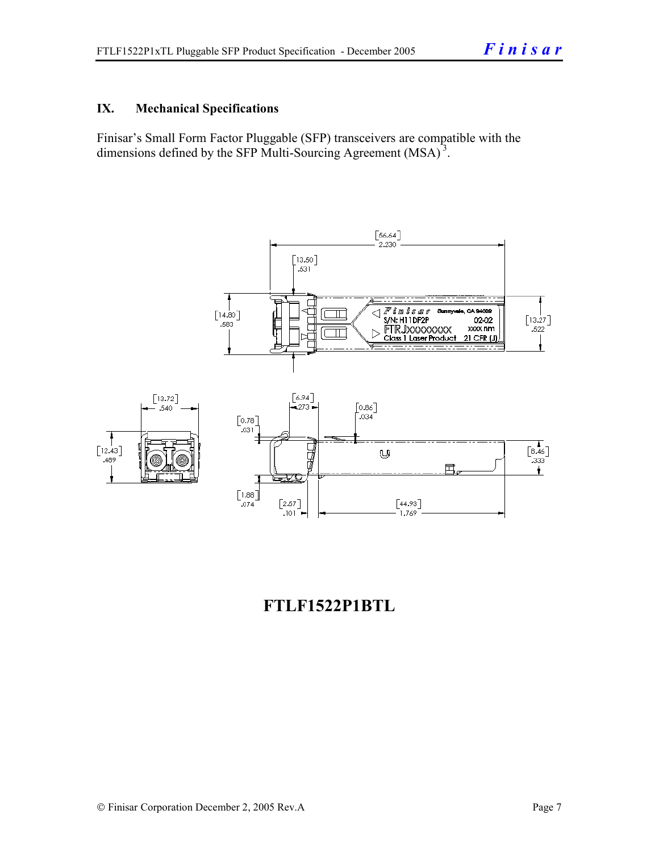#### **IX. Mechanical Specifications**

Finisar's Small Form Factor Pluggable (SFP) transceivers are compatible with the dimensions defined by the SFP Multi-Sourcing Agreement (MSA)<sup>3</sup>.



## **FTLF1522P1BTL**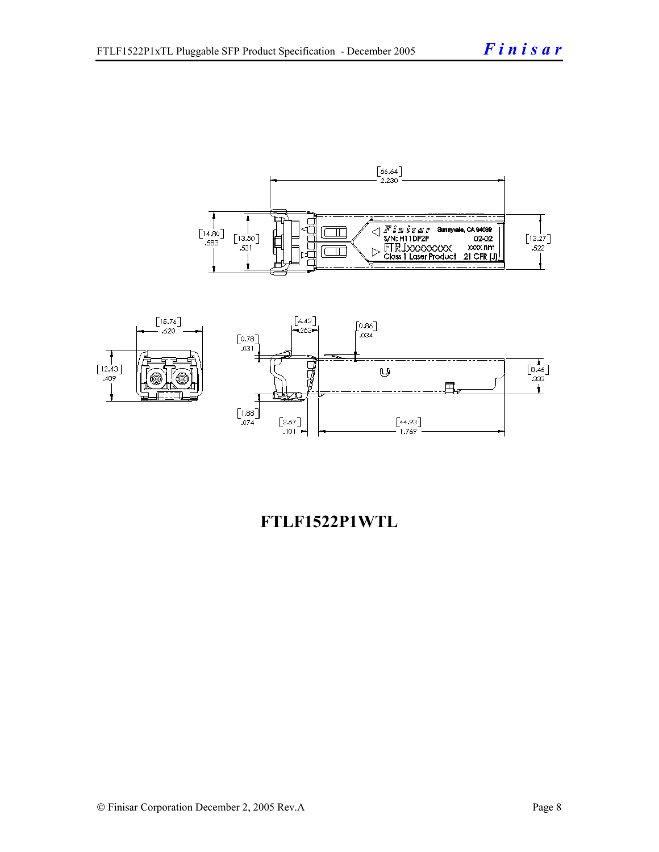



## **FTLF1522P1WTL**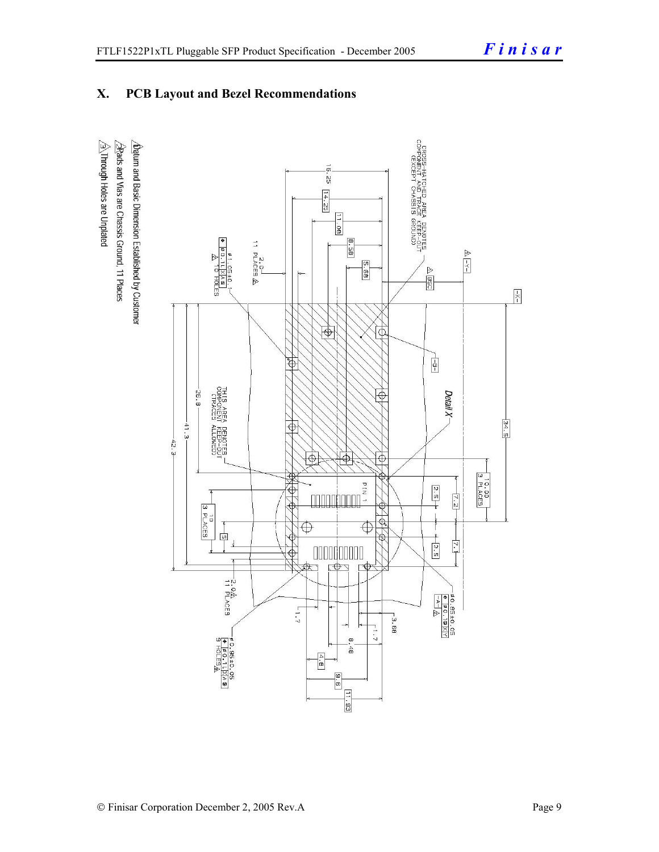### **X. PCB Layout and Bezel Recommendations**

 $\hat{\triangle}$ Through Holes are Unplated  $\Delta$ atum and Basic Dimension Established by Customer  $\triangle$ Rads and Vias are Chassis Ground, 11 Places

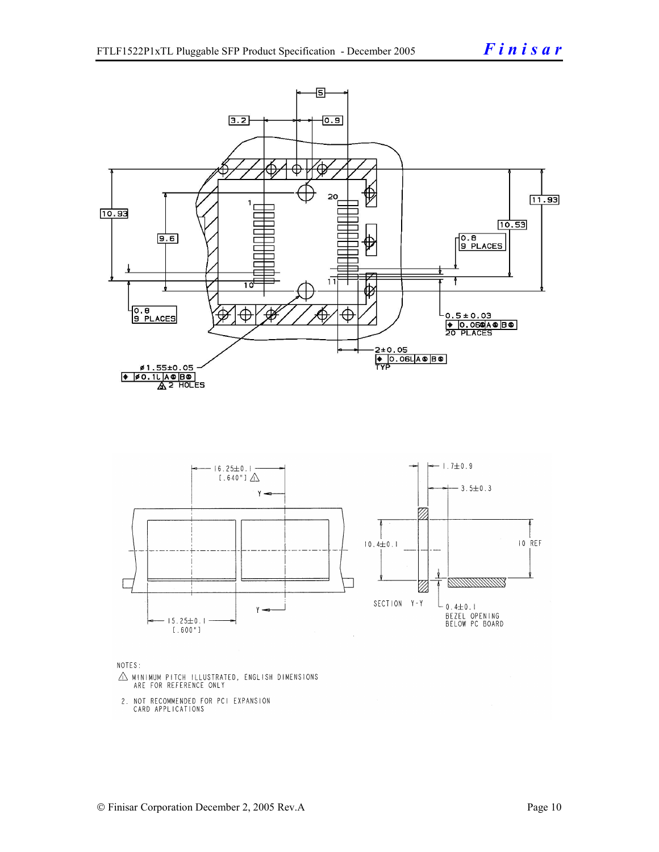

NOTES:

- $\triangle$  MINIMUM PITCH ILLUSTRATED, ENGLISH DIMENSIONS ARE FOR REFERENCE ONLY
- 2. NOT RECOMMENDED FOR PCI EXPANSION CARD APPLICATIONS